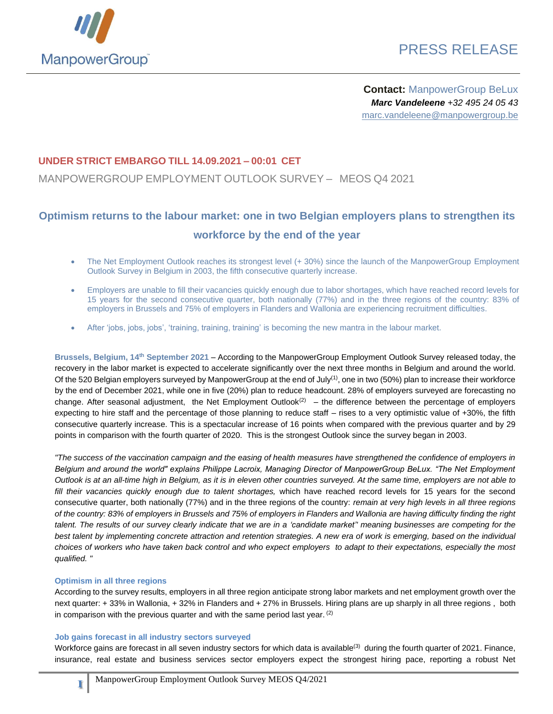

# PRESS RELEASE

**Contact:** ManpowerGroup BeLux *Marc Vandeleene +32 495 24 05 43* marc.vandeleene@manpowergroup.be

### **UNDER STRICT EMBARGO TILL 14.09.2021 – 00:01 CET**

MANPOWERGROUP EMPLOYMENT OUTLOOK SURVEY – MEOS Q4 2021

## **Optimism returns to the labour market: one in two Belgian employers plans to strengthen its workforce by the end of the year**

- The Net Employment Outlook reaches its strongest level (+ 30%) since the launch of the ManpowerGroup Employment Outlook Survey in Belgium in 2003, the fifth consecutive quarterly increase.
- Employers are unable to fill their vacancies quickly enough due to labor shortages, which have reached record levels for 15 years for the second consecutive quarter, both nationally (77%) and in the three regions of the country: 83% of employers in Brussels and 75% of employers in Flanders and Wallonia are experiencing recruitment difficulties.
- After 'jobs, jobs, jobs', 'training, training, training' is becoming the new mantra in the labour market.

**Brussels, Belgium, 14th September 2021** – According to the ManpowerGroup Employment Outlook Survey released today, the recovery in the labor market is expected to accelerate significantly over the next three months in Belgium and around the world. Of the 520 Belgian employers surveyed by ManpowerGroup at the end of July<sup>(1)</sup>, one in two (50%) plan to increase their workforce by the end of December 2021, while one in five (20%) plan to reduce headcount. 28% of employers surveyed are forecasting no change. After seasonal adjustment, the Net Employment Outlook<sup>(2)</sup> – the difference between the percentage of employers expecting to hire staff and the percentage of those planning to reduce staff – rises to a very optimistic value of +30%, the fifth consecutive quarterly increase. This is a spectacular increase of 16 points when compared with the previous quarter and by 29 points in comparison with the fourth quarter of 2020. This is the strongest Outlook since the survey began in 2003.

*"The success of the vaccination campaign and the easing of health measures have strengthened the confidence of employers in Belgium and around the world" explains Philippe Lacroix, Managing Director of ManpowerGroup BeLux. "The Net Employment Outlook is at an all-time high in Belgium, as it is in eleven other countries surveyed. At the same time, employers are not able to fill their vacancies quickly enough due to talent shortages,* which have reached record levels for 15 years for the second consecutive quarter, both nationally (77%) and in the three regions of the country: *remain at very high levels in all three regions of the country: 83% of employers in Brussels and 75% of employers in Flanders and Wallonia are having difficulty finding the right talent. The results of our survey clearly indicate that we are in a 'candidate market'' meaning businesses are competing for the best talent by implementing concrete attraction and retention strategies. A new era of work is emerging, based on the individual choices of workers who have taken back control and who expect employers to adapt to their expectations, especially the most qualified. "*

#### **Optimism in all three regions**

**1**

According to the survey results, employers in all three region anticipate strong labor markets and net employment growth over the next quarter: + 33% in Wallonia, + 32% in Flanders and + 27% in Brussels. Hiring plans are up sharply in all three regions , both in comparison with the previous quarter and with the same period last year. <sup>(2)</sup>

#### **Job gains forecast in all industry sectors surveyed**

Workforce gains are forecast in all seven industry sectors for which data is available<sup>(3)</sup> during the fourth quarter of 2021. Finance, insurance, real estate and business services sector employers expect the strongest hiring pace, reporting a robust Net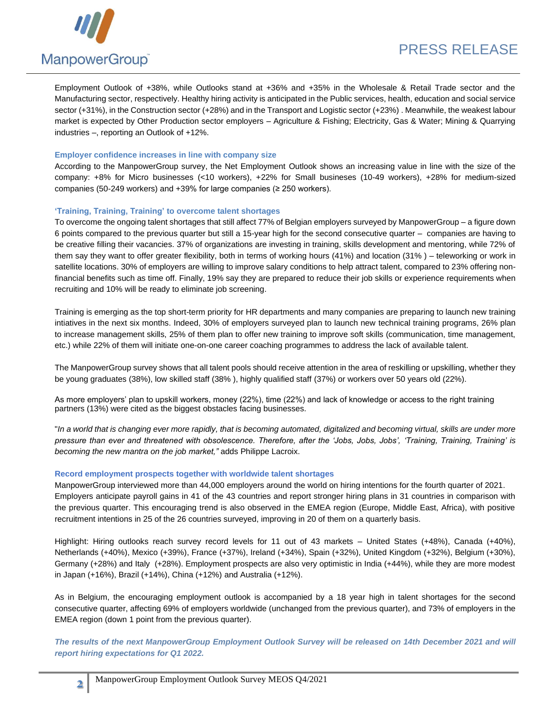

Employment Outlook of +38%, while Outlooks stand at +36% and +35% in the Wholesale & Retail Trade sector and the Manufacturing sector, respectively. Healthy hiring activity is anticipated in the Public services, health, education and social service sector (+31%), in the Construction sector (+28%) and in the Transport and Logistic sector (+23%) . Meanwhile, the weakest labour market is expected by Other Production sector employers – Agriculture & Fishing; Electricity, Gas & Water; Mining & Quarrying industries –, reporting an Outlook of +12%.

#### **Employer confidence increases in line with company size**

According to the ManpowerGroup survey, the Net Employment Outlook shows an increasing value in line with the size of the company: +8% for Micro businesses (<10 workers), +22% for Small busineses (10-49 workers), +28% for medium-sized companies (50-249 workers) and +39% for large companies (≥ 250 workers).

#### **'Training, Training, Training' to overcome talent shortages**

To overcome the ongoing talent shortages that still affect 77% of Belgian employers surveyed by ManpowerGroup – a figure down 6 points compared to the previous quarter but still a 15-year high for the second consecutive quarter – companies are having to be creative filling their vacancies. 37% of organizations are investing in training, skills development and mentoring, while 72% of them say they want to offer greater flexibility, both in terms of working hours (41%) and location (31% ) – teleworking or work in satellite locations. 30% of employers are willing to improve salary conditions to help attract talent, compared to 23% offering nonfinancial benefits such as time off. Finally, 19% say they are prepared to reduce their job skills or experience requirements when recruiting and 10% will be ready to eliminate job screening.

Training is emerging as the top short-term priority for HR departments and many companies are preparing to launch new training intiatives in the next six months. Indeed, 30% of employers surveyed plan to launch new technical training programs, 26% plan to increase management skills, 25% of them plan to offer new training to improve soft skills (communication, time management, etc.) while 22% of them will initiate one-on-one career coaching programmes to address the lack of available talent.

The ManpowerGroup survey shows that all talent pools should receive attention in the area of reskilling or upskilling, whether they be young graduates (38%), low skilled staff (38% ), highly qualified staff (37%) or workers over 50 years old (22%).

As more employers' plan to upskill workers, money (22%), time (22%) and lack of knowledge or access to the right training partners (13%) were cited as the biggest obstacles facing businesses.

"In a world that is changing ever more rapidly, that is becoming automated, digitalized and becoming virtual, skills are under more *pressure than ever and threatened with obsolescence. Therefore, after the 'Jobs, Jobs, Jobs', 'Training, Training, Training' is becoming the new mantra on the job market,"* adds Philippe Lacroix.

#### **Record employment prospects together with worldwide talent shortages**

ManpowerGroup interviewed more than 44,000 employers around the world on hiring intentions for the fourth quarter of 2021. Employers anticipate payroll gains in 41 of the 43 countries and report stronger hiring plans in 31 countries in comparison with the previous quarter. This encouraging trend is also observed in the EMEA region (Europe, Middle East, Africa), with positive recruitment intentions in 25 of the 26 countries surveyed, improving in 20 of them on a quarterly basis.

Highlight: Hiring outlooks reach survey record levels for 11 out of 43 markets – United States (+48%), Canada (+40%), Netherlands (+40%), Mexico (+39%), France (+37%), Ireland (+34%), Spain (+32%), United Kingdom (+32%), Belgium (+30%), Germany (+28%) and Italy (+28%). Employment prospects are also very optimistic in India (+44%), while they are more modest in Japan (+16%), Brazil (+14%), China (+12%) and Australia (+12%).

As in Belgium, the encouraging employment outlook is accompanied by a 18 year high in talent shortages for the second consecutive quarter, affecting 69% of employers worldwide (unchanged from the previous quarter), and 73% of employers in the EMEA region (down 1 point from the previous quarter).

*The results of the next ManpowerGroup Employment Outlook Survey will be released on 14th December 2021 and will report hiring expectations for Q1 2022.*

**2**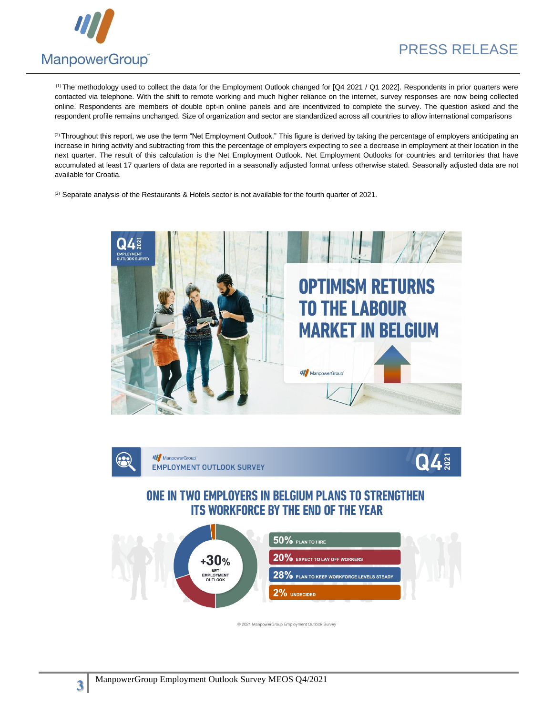

(1) The methodology used to collect the data for the Employment Outlook changed for [Q4 2021 / Q1 2022]. Respondents in prior quarters were contacted via telephone. With the shift to remote working and much higher reliance on the internet, survey responses are now being collected online. Respondents are members of double opt-in online panels and are incentivized to complete the survey. The question asked and the respondent profile remains unchanged. Size of organization and sector are standardized across all countries to allow international comparisons

 $^{(2)}$  Throughout this report, we use the term "Net Employment Outlook." This figure is derived by taking the percentage of employers anticipating an increase in hiring activity and subtracting from this the percentage of employers expecting to see a decrease in employment at their location in the next quarter. The result of this calculation is the Net Employment Outlook. Net Employment Outlooks for countries and territories that have accumulated at least 17 quarters of data are reported in a seasonally adjusted format unless otherwise stated. Seasonally adjusted data are not available for Croatia.

 $(2)$  Separate analysis of the Restaurants & Hotels sector is not available for the fourth quarter of 2021.





@ 2021 ManpowerGroup Employment Outlook Survey

**3**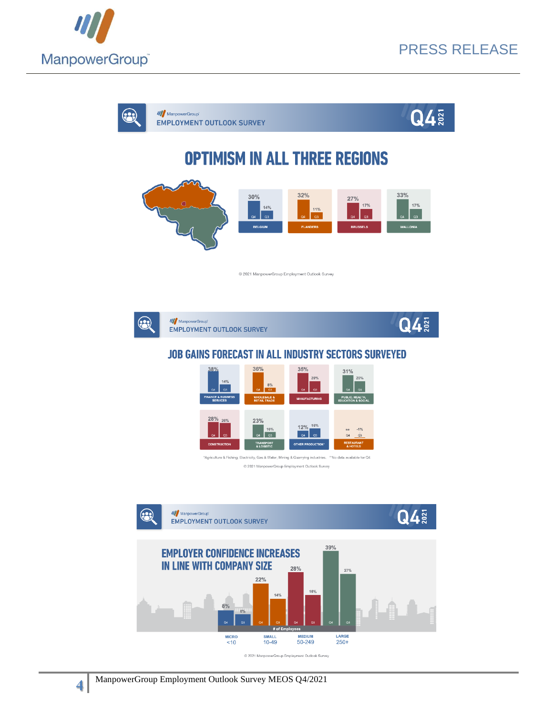

 $Q4\frac{5}{8}$ 

 $Q4$ **///** ManpowerGroup  $(2)$ **EMPLOYMENT OUTLOOK SURVEY OPTIMISM IN ALL THREE REGIONS** 32% 33%  $30%$ 27%  $17%$  $17%$  $14%$  $11%$  $\sqrt{a^3}$  $Q3$  $Q3$  $Q4$ **BELGIUM BRUSSELS** @ 2021 ManpowerGroup Employment Outlook Survey



**////** ManpowerGroup **EMPLOYMENT OUTLOOK SURVEY** 

## **JOB GAINS FORECAST IN ALL INDUSTRY SECTORS SURVEYED**



"Agriculture & Fishing; Electricity, Gas & Water; Mining & Quarrying industries. "No data available for Q4 @ 2021 ManpowerGroup Employment Outlook Survey



ManpowerGroup Employment Outlook Survey MEOS Q4/2021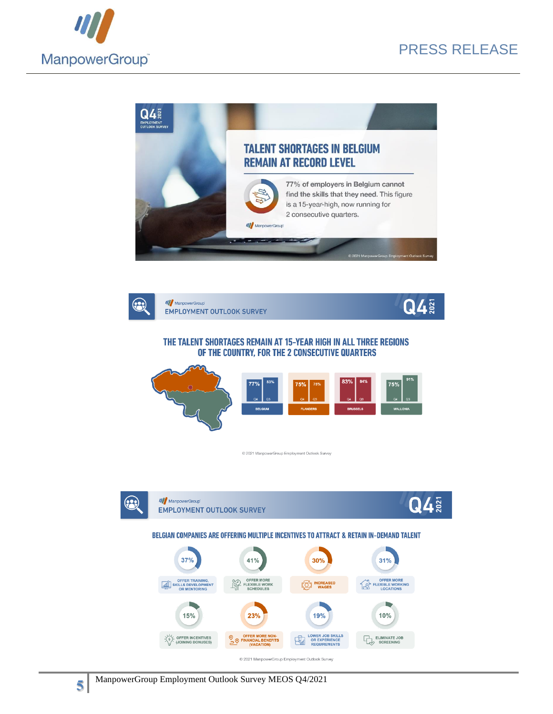





### THE TALENT SHORTAGES REMAIN AT 15-YEAR HIGH IN ALL THREE REGIONS OF THE COUNTRY, FOR THE 2 CONSECUTIVE QUARTERS



@ 2021 ManpowerGroup Employment Outlook Survey



**5**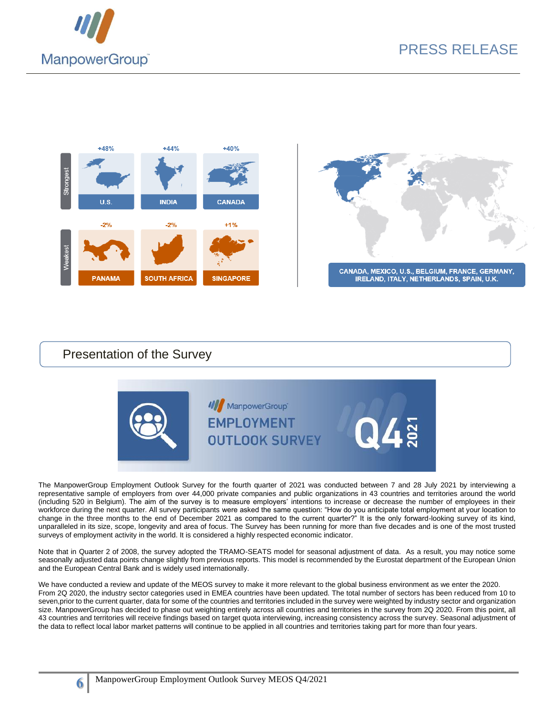





## Presentation of the Survey

**6**



The ManpowerGroup Employment Outlook Survey for the fourth quarter of 2021 was conducted between 7 and 28 July 2021 by interviewing a representative sample of employers from over 44,000 private companies and public organizations in 43 countries and territories around the world (including 520 in Belgium). The aim of the survey is to measure employers' intentions to increase or decrease the number of employees in their workforce during the next quarter. All survey participants were asked the same question: "How do you anticipate total employment at your location to change in the three months to the end of December 2021 as compared to the current quarter?" It is the only forward-looking survey of its kind, unparalleled in its size, scope, longevity and area of focus. The Survey has been running for more than five decades and is one of the most trusted surveys of employment activity in the world. It is considered a highly respected economic indicator.

Note that in Quarter 2 of 2008, the survey adopted the TRAMO-SEATS model for seasonal adjustment of data. As a result, you may notice some seasonally adjusted data points change slightly from previous reports. This model is recommended by the Eurostat department of the European Union and the European Central Bank and is widely used internationally.

We have conducted a review and update of the MEOS survey to make it more relevant to the global business environment as we enter the 2020. From 2Q 2020, the industry sector categories used in EMEA countries have been updated. The total number of sectors has been reduced from 10 to seven, prior to the current quarter, data for some of the countries and territories included in the survey were weighted by industry sector and organization size. ManpowerGroup has decided to phase out weighting entirely across all countries and territories in the survey from 2Q 2020. From this point, all 43 countries and territories will receive findings based on target quota interviewing, increasing consistency across the survey. Seasonal adjustment of the data to reflect local labor market patterns will continue to be applied in all countries and territories taking part for more than four years.